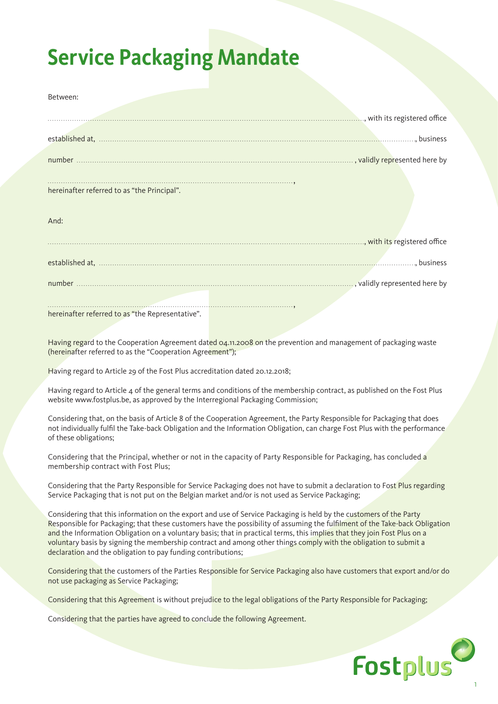# **Service Packaging Mandate**

| Between:                                    |                                                                                                                                                                                                                                |
|---------------------------------------------|--------------------------------------------------------------------------------------------------------------------------------------------------------------------------------------------------------------------------------|
|                                             | with its registered office (All and the contract of the contract of the contract of the contract of the contract of the contract of the contract of the contract of the contract of the contract of the contract of the contra |
|                                             |                                                                                                                                                                                                                                |
|                                             |                                                                                                                                                                                                                                |
|                                             |                                                                                                                                                                                                                                |
|                                             |                                                                                                                                                                                                                                |
| hereinafter referred to as "the Principal". |                                                                                                                                                                                                                                |
|                                             |                                                                                                                                                                                                                                |
| And:                                        |                                                                                                                                                                                                                                |
|                                             |                                                                                                                                                                                                                                |
|                                             | with its registered office                                                                                                                                                                                                     |
|                                             |                                                                                                                                                                                                                                |
|                                             |                                                                                                                                                                                                                                |
|                                             |                                                                                                                                                                                                                                |
|                                             |                                                                                                                                                                                                                                |

hereinafter referred to as "the Representative".

Having regard to the Cooperation Agreement dated 04.11.2008 on the prevention and management of packaging waste (hereinafter referred to as the "Cooperation Agreement");

Having regard to Article 29 of the Fost Plus accreditation dated 20.12.2018;

Having regard to Article 4 of the general terms and conditions of the membership contract, as published on the Fost Plus website www.fostplus.be, as approved by the Interregional Packaging Commission;

Considering that, on the basis of Article 8 of the Cooperation Agreement, the Party Responsible for Packaging that does not individually fulfil the Take-back Obligation and the Information Obligation, can charge Fost Plus with the performance of these obligations;

Considering that the Principal, whether or not in the capacity of Party Responsible for Packaging, has concluded a membership contract with Fost Plus;

Considering that the Party Responsible for Service Packaging does not have to submit a declaration to Fost Plus regarding Service Packaging that is not put on the Belgian market and/or is not used as Service Packaging;

Considering that this information on the export and use of Service Packaging is held by the customers of the Party Responsible for Packaging; that these customers have the possibility of assuming the fulfilment of the Take-back Obligation and the Information Obligation on a voluntary basis; that in practical terms, this implies that they join Fost Plus on a voluntary basis by signing the membership contract and among other things comply with the obligation to submit a declaration and the obligation to pay funding contributions;

Considering that the customers of the Parties Responsible for Service Packaging also have customers that export and/or do not use packaging as Service Packaging;

Considering that this Agreement is without prejudice to the legal obligations of the Party Responsible for Packaging;

Considering that the parties have agreed to conclude the following Agreement.

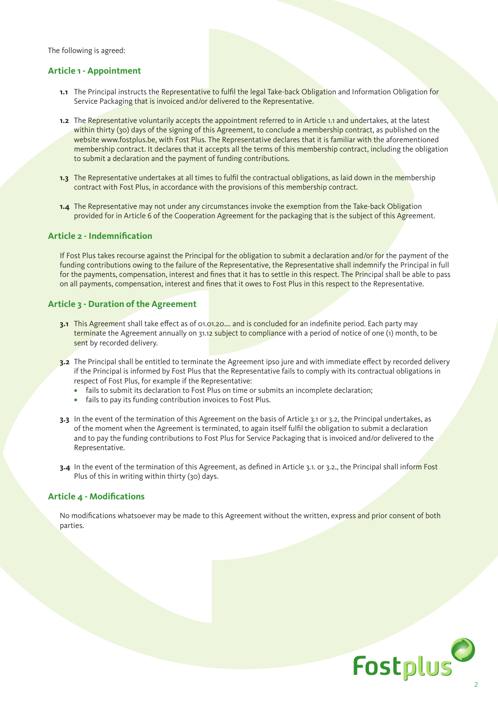The following is agreed:

# **Article 1 - Appointment**

- **1.1** The Principal instructs the Representative to fulfil the legal Take-back Obligation and Information Obligation for Service Packaging that is invoiced and/or delivered to the Representative.
- **1.2** The Representative voluntarily accepts the appointment referred to in Article 1.1 and undertakes, at the latest within thirty (30) days of the signing of this Agreement, to conclude a membership contract, as published on the website www.fostplus.be, with Fost Plus. The Representative declares that it is familiar with the aforementioned membership contract. It declares that it accepts all the terms of this membership contract, including the obligation to submit a declaration and the payment of funding contributions.
- **1.3** The Representative undertakes at all times to fulfil the contractual obligations, as laid down in the membership contract with Fost Plus, in accordance with the provisions of this membership contract.
- **1.4** The Representative may not under any circumstances invoke the exemption from the Take-back Obligation provided for in Article 6 of the Cooperation Agreement for the packaging that is the subject of this Agreement.

## **Article 2 - Indemnification**

If Fost Plus takes recourse against the Principal for the obligation to submit a declaration and/or for the payment of the funding contributions owing to the failure of the Representative, the Representative shall indemnify the Principal in full for the payments, compensation, interest and fines that it has to settle in this respect. The Principal shall be able to pass on all payments, compensation, interest and fines that it owes to Fost Plus in this respect to the Representative.

#### **Article 3 - Duration of the Agreement**

- **3.1** This Agreement shall take effect as of 01.01.20…. and is concluded for an indefinite period. Each party may terminate the Agreement annually on 31.12 subject to compliance with a period of notice of one (1) month, to be sent by recorded delivery.
- **3.2** The Principal shall be entitled to terminate the Agreement ipso jure and with immediate effect by recorded delivery if the Principal is informed by Fost Plus that the Representative fails to comply with its contractual obligations in respect of Fost Plus, for example if the Representative:
	- **•** fails to submit its declaration to Fost Plus on time or submits an incomplete declaration;
	- **•** fails to pay its funding contribution invoices to Fost Plus.
- **3.3** In the event of the termination of this Agreement on the basis of Article 3.1 or 3.2, the Principal undertakes, as of the moment when the Agreement is terminated, to again itself fulfil the obligation to submit a declaration and to pay the funding contributions to Fost Plus for Service Packaging that is invoiced and/or delivered to the Representative.
- **3.4** In the event of the termination of this Agreement, as defined in Article 3.1. or 3.2., the Principal shall inform Fost Plus of this in writing within thirty (30) days.

#### **Article 4 - Modifications**

No modifications whatsoever may be made to this Agreement without the written, express and prior consent of both parties.